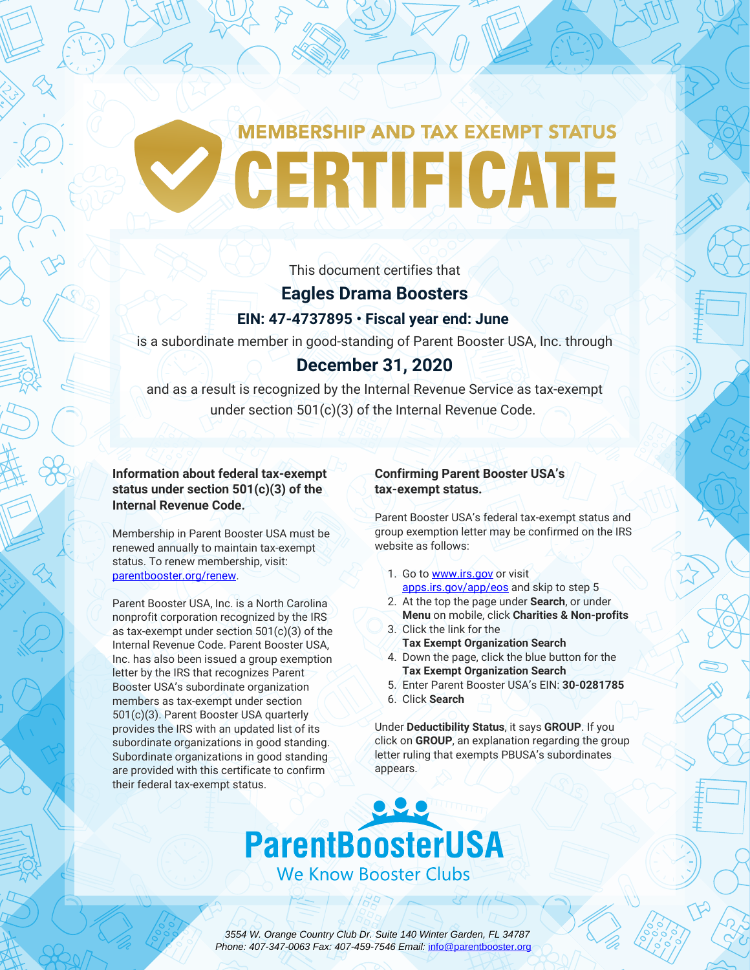# **MEMBERSHIP AND TAX EXEMPT STATUS** CERTIFICATE

This document certifies that

### **Eagles Drama Boosters EIN: 47-4737895 • Fiscal year end: June**

is a subordinate member in good-standing of Parent Booster USA, Inc. through

## **December 31, 2020**

and as a result is recognized by the Internal Revenue Service as tax-exempt under section 501(c)(3) of the Internal Revenue Code.

**Information about federal tax-exempt status under section 501(c)(3) of the Internal Revenue Code.**

Membership in Parent Booster USA must be renewed annually to maintain tax-exempt status. To renew membership, visit: [parentbooster.org/renew.](https://parentbooster.org/renew)

Parent Booster USA, Inc. is a North Carolina nonprofit corporation recognized by the IRS as tax-exempt under section 501(c)(3) of the Internal Revenue Code. Parent Booster USA, Inc. has also been issued a group exemption letter by the IRS that recognizes Parent Booster USA's subordinate organization members as tax-exempt under section 501(c)(3). Parent Booster USA quarterly provides the IRS with an updated list of its subordinate organizations in good standing. Subordinate organizations in good standing are provided with this certificate to confirm their federal tax-exempt status.

#### **Confirming Parent Booster USA's tax-exempt status.**

Parent Booster USA's federal tax-exempt status and group exemption letter may be confirmed on the IRS website as follows:

- 1. Go to [www.irs.gov](https://www.irs.gov) or visit [apps.irs.gov/app/eos](https://apps.irs.gov/app/eos/) and skip to step 5
- 2. At the top the page under **Search**, or under **Menu** on mobile, click **Charities & Non-profits** 3. Click the link for the
- **Tax Exempt Organization Search**
- 4. Down the page, click the blue button for the **Tax Exempt Organization Search**
- 5. Enter Parent Booster USA's EIN: **30-0281785**
- 6. Click **Search**

Under **Deductibility Status**, it says **GROUP**. If you click on **GROUP**, an explanation regarding the group letter ruling that exempts PBUSA's subordinates appears.



 3554 W. Orange Country Club Dr. Suite 140 Winter Garden, FL 34787 Phone: 407-347-0063 Fax: 407-459-7546 Email: [info@parentbooster.org](mailto:info@parentbooster.org)